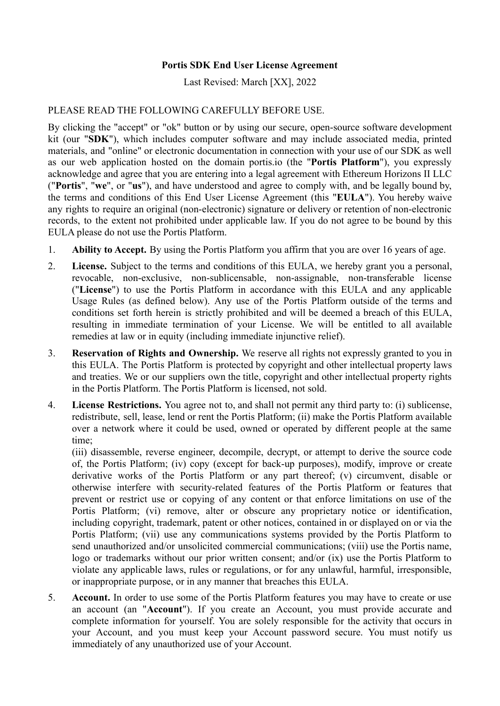## **Portis SDK End User License Agreement**

Last Revised: March [XX], 2022

# PLEASE READ THE FOLLOWING CAREFULLY BEFORE USE.

By clicking the "accept" or "ok" button or by using our secure, open-source software development kit (our "**SDK**"), which includes computer software and may include associated media, printed materials, and "online" or electronic documentation in connection with your use of our SDK as well as our web application hosted on the domain portis.io (the "**Portis Platform**"), you expressly acknowledge and agree that you are entering into a legal agreement with Ethereum Horizons II LLC ("**Portis**", "**we**", or "**us**"), and have understood and agree to comply with, and be legally bound by, the terms and conditions of this End User License Agreement (this "**EULA**"). You hereby waive any rights to require an original (non-electronic) signature or delivery or retention of non-electronic records, to the extent not prohibited under applicable law. If you do not agree to be bound by this EULA please do not use the Portis Platform.

- 1. **Ability to Accept.** By using the Portis Platform you affirm that you are over 16 years of age.
- 2. **License.** Subject to the terms and conditions of this EULA, we hereby grant you a personal, revocable, non-exclusive, non-sublicensable, non-assignable, non-transferable license ("**License**") to use the Portis Platform in accordance with this EULA and any applicable Usage Rules (as defined below). Any use of the Portis Platform outside of the terms and conditions set forth herein is strictly prohibited and will be deemed a breach of this EULA, resulting in immediate termination of your License. We will be entitled to all available remedies at law or in equity (including immediate injunctive relief).
- 3. **Reservation of Rights and Ownership.** We reserve all rights not expressly granted to you in this EULA. The Portis Platform is protected by copyright and other intellectual property laws and treaties. We or our suppliers own the title, copyright and other intellectual property rights in the Portis Platform. The Portis Platform is licensed, not sold.
- 4. **License Restrictions.** You agree not to, and shall not permit any third party to: (i) sublicense, redistribute, sell, lease, lend or rent the Portis Platform; (ii) make the Portis Platform available over a network where it could be used, owned or operated by different people at the same time;

(iii) disassemble, reverse engineer, decompile, decrypt, or attempt to derive the source code of, the Portis Platform; (iv) copy (except for back-up purposes), modify, improve or create derivative works of the Portis Platform or any part thereof; (v) circumvent, disable or otherwise interfere with security-related features of the Portis Platform or features that prevent or restrict use or copying of any content or that enforce limitations on use of the Portis Platform; (vi) remove, alter or obscure any proprietary notice or identification, including copyright, trademark, patent or other notices, contained in or displayed on or via the Portis Platform; (vii) use any communications systems provided by the Portis Platform to send unauthorized and/or unsolicited commercial communications; (viii) use the Portis name, logo or trademarks without our prior written consent; and/or (ix) use the Portis Platform to violate any applicable laws, rules or regulations, or for any unlawful, harmful, irresponsible, or inappropriate purpose, or in any manner that breaches this EULA.

5. **Account.** In order to use some of the Portis Platform features you may have to create or use an account (an "**Account**"). If you create an Account, you must provide accurate and complete information for yourself. You are solely responsible for the activity that occurs in your Account, and you must keep your Account password secure. You must notify us immediately of any unauthorized use of your Account.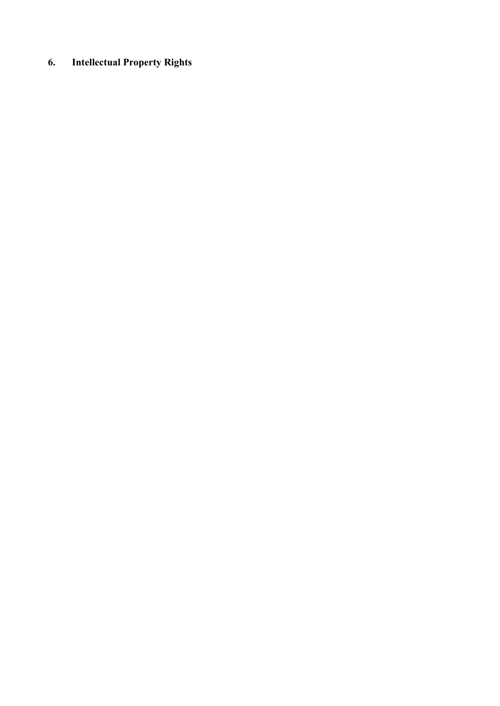# **6. Intellectual Property Rights**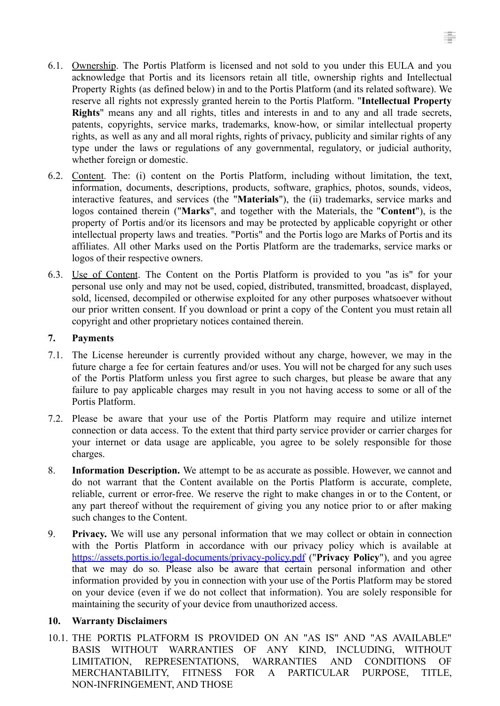- 6.1. Ownership. The Portis Platform is licensed and not sold to you under this EULA and you acknowledge that Portis and its licensors retain all title, ownership rights and Intellectual Property Rights (as defined below) in and to the Portis Platform (and its related software). We reserve all rights not expressly granted herein to the Portis Platform. "**Intellectual Property Rights**" means any and all rights, titles and interests in and to any and all trade secrets, patents, copyrights, service marks, trademarks, know-how, or similar intellectual property rights, as well as any and all moral rights, rights of privacy, publicity and similar rights of any type under the laws or regulations of any governmental, regulatory, or judicial authority, whether foreign or domestic.
- 6.2. Content. The: (i) content on the Portis Platform, including without limitation, the text, information, documents, descriptions, products, software, graphics, photos, sounds, videos, interactive features, and services (the "**Materials**"), the (ii) trademarks, service marks and logos contained therein ("**Marks**", and together with the Materials, the "**Content**"), is the property of Portis and/or its licensors and may be protected by applicable copyright or other intellectual property laws and treaties. "Portis" and the Portis logo are Marks of Portis and its affiliates. All other Marks used on the Portis Platform are the trademarks, service marks or logos of their respective owners.
- 6.3. Use of Content. The Content on the Portis Platform is provided to you "as is" for your personal use only and may not be used, copied, distributed, transmitted, broadcast, displayed, sold, licensed, decompiled or otherwise exploited for any other purposes whatsoever without our prior written consent. If you download or print a copy of the Content you must retain all copyright and other proprietary notices contained therein.

#### **7. Payments**

- 7.1. The License hereunder is currently provided without any charge, however, we may in the future charge a fee for certain features and/or uses. You will not be charged for any such uses of the Portis Platform unless you first agree to such charges, but please be aware that any failure to pay applicable charges may result in you not having access to some or all of the Portis Platform.
- 7.2. Please be aware that your use of the Portis Platform may require and utilize internet connection or data access. To the extent that third party service provider or carrier charges for your internet or data usage are applicable, you agree to be solely responsible for those charges.
- 8. **Information Description.** We attempt to be as accurate as possible. However, we cannot and do not warrant that the Content available on the Portis Platform is accurate, complete, reliable, current or error-free. We reserve the right to make changes in or to the Content, or any part thereof without the requirement of giving you any notice prior to or after making such changes to the Content.
- 9. **Privacy.** We will use any personal information that we may collect or obtain in connection with the Portis Platform in accordance with our privacy policy which is available at https://assets.portis.io/legal-documents/privacy-policy.pdf ("**Privacy Policy**"), and you agree that we may do so*.* Please also be aware that certain personal information and other information provided by you in connection with your use of the Portis Platform may be stored on your device (even if we do not collect that information). You are solely responsible for maintaining the security of your device from unauthorized access.

## **10. Warranty Disclaimers**

10.1. THE PORTIS PLATFORM IS PROVIDED ON AN "AS IS" AND "AS AVAILABLE" BASIS WITHOUT WARRANTIES OF ANY KIND, INCLUDING, WITHOUT LIMITATION, REPRESENTATIONS, WARRANTIES AND CONDITIONS OF MERCHANTABILITY, FITNESS FOR A PARTICULAR PURPOSE, TITLE, NON-INFRINGEMENT, AND THOSE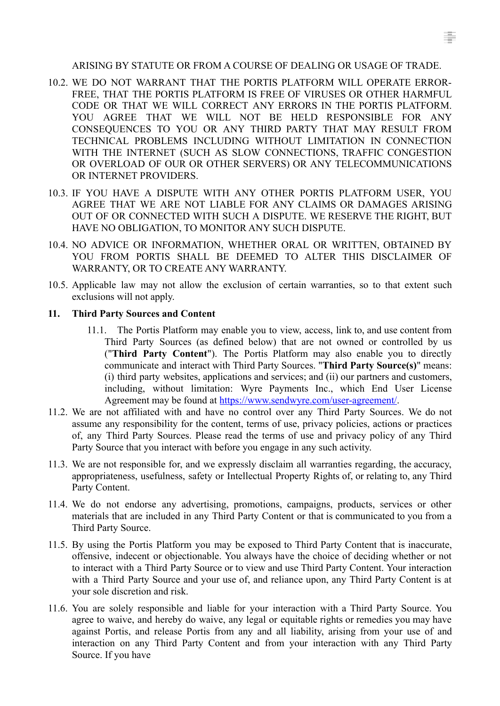#### ARISING BY STATUTE OR FROM A COURSE OF DEALING OR USAGE OF TRADE.

- 10.2. WE DO NOT WARRANT THAT THE PORTIS PLATFORM WILL OPERATE ERROR-FREE, THAT THE PORTIS PLATFORM IS FREE OF VIRUSES OR OTHER HARMFUL CODE OR THAT WE WILL CORRECT ANY ERRORS IN THE PORTIS PLATFORM. YOU AGREE THAT WE WILL NOT BE HELD RESPONSIBLE FOR ANY CONSEQUENCES TO YOU OR ANY THIRD PARTY THAT MAY RESULT FROM TECHNICAL PROBLEMS INCLUDING WITHOUT LIMITATION IN CONNECTION WITH THE INTERNET (SUCH AS SLOW CONNECTIONS, TRAFFIC CONGESTION OR OVERLOAD OF OUR OR OTHER SERVERS) OR ANY TELECOMMUNICATIONS OR INTERNET PROVIDERS.
- 10.3. IF YOU HAVE A DISPUTE WITH ANY OTHER PORTIS PLATFORM USER, YOU AGREE THAT WE ARE NOT LIABLE FOR ANY CLAIMS OR DAMAGES ARISING OUT OF OR CONNECTED WITH SUCH A DISPUTE. WE RESERVE THE RIGHT, BUT HAVE NO OBLIGATION, TO MONITOR ANY SUCH DISPUTE.
- 10.4. NO ADVICE OR INFORMATION, WHETHER ORAL OR WRITTEN, OBTAINED BY YOU FROM PORTIS SHALL BE DEEMED TO ALTER THIS DISCLAIMER OF WARRANTY, OR TO CREATE ANY WARRANTY.
- 10.5. Applicable law may not allow the exclusion of certain warranties, so to that extent such exclusions will not apply.

#### **11. Third Party Sources and Content**

- 11.1. The Portis Platform may enable you to view, access, link to, and use content from Third Party Sources (as defined below) that are not owned or controlled by us ("**Third Party Content**"). The Portis Platform may also enable you to directly communicate and interact with Third Party Sources. "**Third Party Source(s)**" means: (i) third party websites, applications and services; and (ii) our partners and customers, including, without limitation: Wyre Payments Inc., which End User License Agreement may be found at https://[www.sendwyre.com/user-agreement/.](http://www.sendwyre.com/user-agreement/)
- 11.2. We are not affiliated with and have no control over any Third Party Sources. We do not assume any responsibility for the content, terms of use, privacy policies, actions or practices of, any Third Party Sources. Please read the terms of use and privacy policy of any Third Party Source that you interact with before you engage in any such activity.
- 11.3. We are not responsible for, and we expressly disclaim all warranties regarding, the accuracy, appropriateness, usefulness, safety or Intellectual Property Rights of, or relating to, any Third Party Content.
- 11.4. We do not endorse any advertising, promotions, campaigns, products, services or other materials that are included in any Third Party Content or that is communicated to you from a Third Party Source.
- 11.5. By using the Portis Platform you may be exposed to Third Party Content that is inaccurate, offensive, indecent or objectionable. You always have the choice of deciding whether or not to interact with a Third Party Source or to view and use Third Party Content. Your interaction with a Third Party Source and your use of, and reliance upon, any Third Party Content is at your sole discretion and risk.
- 11.6. You are solely responsible and liable for your interaction with a Third Party Source. You agree to waive, and hereby do waive, any legal or equitable rights or remedies you may have against Portis, and release Portis from any and all liability, arising from your use of and interaction on any Third Party Content and from your interaction with any Third Party Source. If you have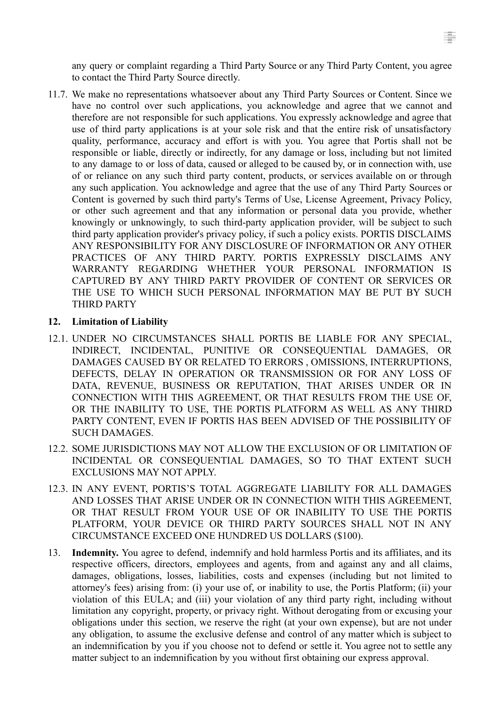any query or complaint regarding a Third Party Source or any Third Party Content, you agree to contact the Third Party Source directly.

11.7. We make no representations whatsoever about any Third Party Sources or Content. Since we have no control over such applications, you acknowledge and agree that we cannot and therefore are not responsible for such applications. You expressly acknowledge and agree that use of third party applications is at your sole risk and that the entire risk of unsatisfactory quality, performance, accuracy and effort is with you. You agree that Portis shall not be responsible or liable, directly or indirectly, for any damage or loss, including but not limited to any damage to or loss of data, caused or alleged to be caused by, or in connection with, use of or reliance on any such third party content, products, or services available on or through any such application. You acknowledge and agree that the use of any Third Party Sources or Content is governed by such third party's Terms of Use, License Agreement, Privacy Policy, or other such agreement and that any information or personal data you provide, whether knowingly or unknowingly, to such third-party application provider, will be subject to such third party application provider's privacy policy, if such a policy exists. PORTIS DISCLAIMS ANY RESPONSIBILITY FOR ANY DISCLOSURE OF INFORMATION OR ANY OTHER PRACTICES OF ANY THIRD PARTY. PORTIS EXPRESSLY DISCLAIMS ANY WARRANTY REGARDING WHETHER YOUR PERSONAL INFORMATION IS CAPTURED BY ANY THIRD PARTY PROVIDER OF CONTENT OR SERVICES OR THE USE TO WHICH SUCH PERSONAL INFORMATION MAY BE PUT BY SUCH THIRD PARTY

## **12. Limitation of Liability**

- 12.1. UNDER NO CIRCUMSTANCES SHALL PORTIS BE LIABLE FOR ANY SPECIAL, INDIRECT, INCIDENTAL, PUNITIVE OR CONSEQUENTIAL DAMAGES, OR DAMAGES CAUSED BY OR RELATED TO ERRORS , OMISSIONS, INTERRUPTIONS, DEFECTS, DELAY IN OPERATION OR TRANSMISSION OR FOR ANY LOSS OF DATA, REVENUE, BUSINESS OR REPUTATION, THAT ARISES UNDER OR IN CONNECTION WITH THIS AGREEMENT, OR THAT RESULTS FROM THE USE OF, OR THE INABILITY TO USE, THE PORTIS PLATFORM AS WELL AS ANY THIRD PARTY CONTENT, EVEN IF PORTIS HAS BEEN ADVISED OF THE POSSIBILITY OF SUCH DAMAGES.
- 12.2. SOME JURISDICTIONS MAY NOT ALLOW THE EXCLUSION OF OR LIMITATION OF INCIDENTAL OR CONSEQUENTIAL DAMAGES, SO TO THAT EXTENT SUCH EXCLUSIONS MAY NOT APPLY.
- 12.3. IN ANY EVENT, PORTIS'S TOTAL AGGREGATE LIABILITY FOR ALL DAMAGES AND LOSSES THAT ARISE UNDER OR IN CONNECTION WITH THIS AGREEMENT, OR THAT RESULT FROM YOUR USE OF OR INABILITY TO USE THE PORTIS PLATFORM, YOUR DEVICE OR THIRD PARTY SOURCES SHALL NOT IN ANY CIRCUMSTANCE EXCEED ONE HUNDRED US DOLLARS (\$100).
- 13. **Indemnity.** You agree to defend, indemnify and hold harmless Portis and its affiliates, and its respective officers, directors, employees and agents, from and against any and all claims, damages, obligations, losses, liabilities, costs and expenses (including but not limited to attorney's fees) arising from: (i) your use of, or inability to use, the Portis Platform; (ii) your violation of this EULA; and (iii) your violation of any third party right, including without limitation any copyright, property, or privacy right. Without derogating from or excusing your obligations under this section, we reserve the right (at your own expense), but are not under any obligation, to assume the exclusive defense and control of any matter which is subject to an indemnification by you if you choose not to defend or settle it. You agree not to settle any matter subject to an indemnification by you without first obtaining our express approval.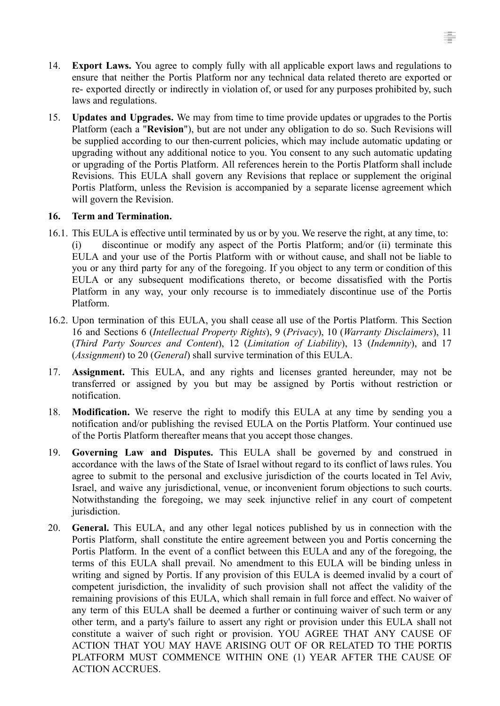- 14. **Export Laws.** You agree to comply fully with all applicable export laws and regulations to ensure that neither the Portis Platform nor any technical data related thereto are exported or re- exported directly or indirectly in violation of, or used for any purposes prohibited by, such laws and regulations.
- 15. **Updates and Upgrades.** We may from time to time provide updates or upgrades to the Portis Platform (each a "**Revision**"), but are not under any obligation to do so. Such Revisions will be supplied according to our then-current policies, which may include automatic updating or upgrading without any additional notice to you. You consent to any such automatic updating or upgrading of the Portis Platform. All references herein to the Portis Platform shall include Revisions. This EULA shall govern any Revisions that replace or supplement the original Portis Platform, unless the Revision is accompanied by a separate license agreement which will govern the Revision.

## **16. Term and Termination.**

- 16.1. This EULA is effective until terminated by us or by you. We reserve the right, at any time, to: (i) discontinue or modify any aspect of the Portis Platform; and/or (ii) terminate this EULA and your use of the Portis Platform with or without cause, and shall not be liable to you or any third party for any of the foregoing. If you object to any term or condition of this EULA or any subsequent modifications thereto, or become dissatisfied with the Portis Platform in any way, your only recourse is to immediately discontinue use of the Portis Platform.
- 16.2. Upon termination of this EULA, you shall cease all use of the Portis Platform. This Section 16 and Sections 6 (*Intellectual Property Rights*), 9 (*Privacy*), 10 (*Warranty Disclaimers*), 11 (*Third Party Sources and Content*), 12 (*Limitation of Liability*), 13 (*Indemnity*), and 17 (*Assignment*) to 20 (*General*) shall survive termination of this EULA.
- 17. **Assignment.** This EULA, and any rights and licenses granted hereunder, may not be transferred or assigned by you but may be assigned by Portis without restriction or notification.
- 18. **Modification.** We reserve the right to modify this EULA at any time by sending you a notification and/or publishing the revised EULA on the Portis Platform. Your continued use of the Portis Platform thereafter means that you accept those changes.
- 19. **Governing Law and Disputes.** This EULA shall be governed by and construed in accordance with the laws of the State of Israel without regard to its conflict of laws rules. You agree to submit to the personal and exclusive jurisdiction of the courts located in Tel Aviv, Israel, and waive any jurisdictional, venue, or inconvenient forum objections to such courts. Notwithstanding the foregoing, we may seek injunctive relief in any court of competent jurisdiction.
- 20. **General.** This EULA, and any other legal notices published by us in connection with the Portis Platform, shall constitute the entire agreement between you and Portis concerning the Portis Platform. In the event of a conflict between this EULA and any of the foregoing, the terms of this EULA shall prevail. No amendment to this EULA will be binding unless in writing and signed by Portis. If any provision of this EULA is deemed invalid by a court of competent jurisdiction, the invalidity of such provision shall not affect the validity of the remaining provisions of this EULA, which shall remain in full force and effect. No waiver of any term of this EULA shall be deemed a further or continuing waiver of such term or any other term, and a party's failure to assert any right or provision under this EULA shall not constitute a waiver of such right or provision. YOU AGREE THAT ANY CAUSE OF ACTION THAT YOU MAY HAVE ARISING OUT OF OR RELATED TO THE PORTIS PLATFORM MUST COMMENCE WITHIN ONE (1) YEAR AFTER THE CAUSE OF ACTION ACCRUES.